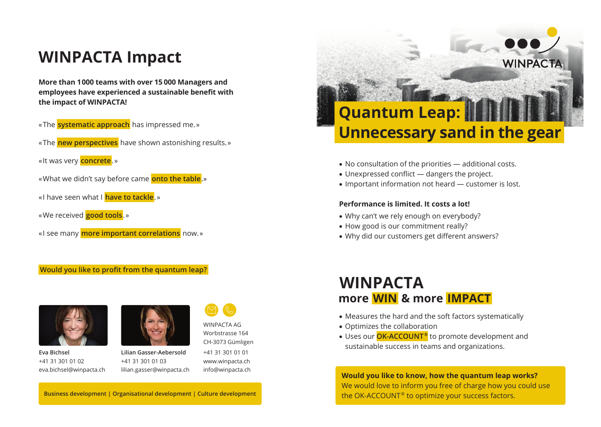## **WINPACTA Impact**

**More than 1 000 teams with over 15 000 Managers and employees have experienced a sustainable benefit with the impact of WINPACTA!**

- « The **systematic approach** has impressed me. »
- « The **new perspectives** have shown astonishing results. »
- « It was very **concrete**. »
- « What we didn't say before came **onto the table**.»
- « I have seen what I **have to tackle**. »
- « We received **good tools**. »
- « I see many **more important correlations** now. »

#### **Would you like to profit from the quantum leap?**



**Eva Bichsel** +41 31 301 01 02 eva.bichsel@winpacta.ch



**Lilian Gasser-Aebersold** +41 31 301 01 03 lilian.gasser@winpacta.ch

CH-3073 Gümligen +41 31 301 01 01 www.winpacta.ch info@winpacta.ch

WINPACTA AG Worbstrasse 164



- No consultation of the priorities additional costs.
- Unexpressed conflict dangers the project.
- Important information not heard customer is lost.

#### **Performance is limited. It costs a lot!**

- Why can't we rely enough on everybody?
- How good is our commitment really?
- Why did our customers get different answers?

### **WINPACTA more  WIN  & more  IMPACT**

- Measures the hard and the soft factors systematically
- Optimizes the collaboration
- Uses our **OK-ACCOUNT ®** to promote development and sustainable success in teams and organizations.

**Would you like to know, how the quantum leap works?** We would love to inform you free of charge how you could use the OK-ACCOUNT ® to optimize your success factors.

**Business development | Organisational development | Culture development**